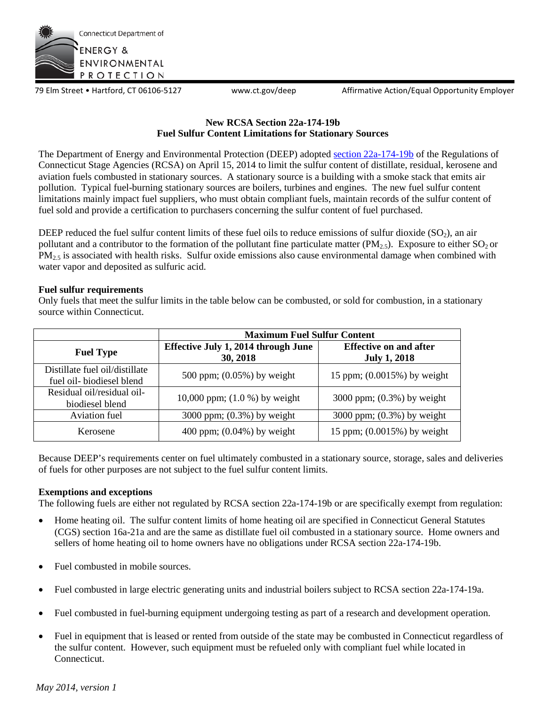

79 Elm Street • Hartford, CT 06106-5127 www.ct.gov/deep Affirmative Action/Equal Opportunity Employer

## **New RCSA Section 22a-174-19b Fuel Sulfur Content Limitations for Stationary Sources**

The Department of Energy and Environmental Protection (DEEP) adopted [section 22a-174-19b](http://www.ct.gov/deep/lib/deep/air/regulations/mainregs/sec19b.pdf) of the Regulations of Connecticut Stage Agencies (RCSA) on April 15, 2014 to limit the sulfur content of distillate, residual, kerosene and aviation fuels combusted in stationary sources. A stationary source is a building with a smoke stack that emits air pollution. Typical fuel-burning stationary sources are boilers, turbines and engines. The new fuel sulfur content limitations mainly impact fuel suppliers, who must obtain compliant fuels, maintain records of the sulfur content of fuel sold and provide a certification to purchasers concerning the sulfur content of fuel purchased.

DEEP reduced the fuel sulfur content limits of these fuel oils to reduce emissions of sulfur dioxide  $(SO<sub>2</sub>)$ , an air pollutant and a contributor to the formation of the pollutant fine particulate matter ( $PM_{2.5}$ ). Exposure to either  $SO_2$  or  $PM<sub>2.5</sub>$  is associated with health risks. Sulfur oxide emissions also cause environmental damage when combined with water vapor and deposited as sulfuric acid.

## **Fuel sulfur requirements**

Only fuels that meet the sulfur limits in the table below can be combusted, or sold for combustion, in a stationary source within Connecticut.

|                                                            | <b>Maximum Fuel Sulfur Content</b>              |                                                      |
|------------------------------------------------------------|-------------------------------------------------|------------------------------------------------------|
| <b>Fuel Type</b>                                           | Effective July 1, 2014 through June<br>30, 2018 | <b>Effective on and after</b><br><b>July 1, 2018</b> |
| Distillate fuel oil/distillate<br>fuel oil-biodiesel blend | 500 ppm; $(0.05\%)$ by weight                   | 15 ppm; $(0.0015\%)$ by weight                       |
| Residual oil/residual oil-<br>biodiesel blend              | 10,000 ppm; $(1.0 %)$ by weight                 | 3000 ppm; $(0.3\%)$ by weight                        |
| Aviation fuel                                              | 3000 ppm; $(0.3%)$ by weight                    | 3000 ppm; $(0.3%)$ by weight                         |
| Kerosene                                                   | 400 ppm; $(0.04\%)$ by weight                   | 15 ppm; (0.0015%) by weight                          |

Because DEEP's requirements center on fuel ultimately combusted in a stationary source, storage, sales and deliveries of fuels for other purposes are not subject to the fuel sulfur content limits.

# **Exemptions and exceptions**

The following fuels are either not regulated by RCSA section 22a-174-19b or are specifically exempt from regulation:

- Home heating oil. The sulfur content limits of home heating oil are specified in Connecticut General Statutes (CGS) section 16a-21a and are the same as distillate fuel oil combusted in a stationary source. Home owners and sellers of home heating oil to home owners have no obligations under RCSA section 22a-174-19b.
- Fuel combusted in mobile sources.
- Fuel combusted in large electric generating units and industrial boilers subject to RCSA section 22a-174-19a.
- Fuel combusted in fuel-burning equipment undergoing testing as part of a research and development operation.
- Fuel in equipment that is leased or rented from outside of the state may be combusted in Connecticut regardless of the sulfur content. However, such equipment must be refueled only with compliant fuel while located in Connecticut.